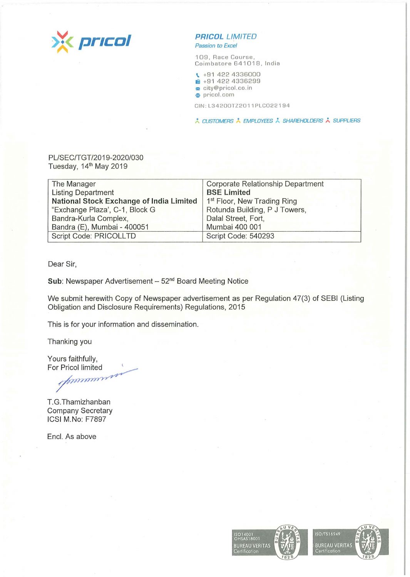

Passion *to Excel* 

109, Race Course, Coimbatore 641018, India

\. +9 1 422 4336000

1 +91 422 4336299

city@pricol.co.in **e** pricol.com

CIN:L34200TZ2011PLC022194

/.. CUSTOMERS • EMPLOYEES /.. SHAREHOLDERS /.. SUPPLIERS

PL/SEC/TGT/2019-2020/030 Tuesday, 14<sup>th</sup> May 2019

| The Manager                              | Corporate Relationship Department       |
|------------------------------------------|-----------------------------------------|
| <b>Listing Department</b>                | <b>BSE Limited</b>                      |
| National Stock Exchange of India Limited | 1 <sup>st</sup> Floor, New Trading Ring |
| "Exchange Plaza', C-1, Block G           | Rotunda Building, P J Towers,           |
| Bandra-Kurla Complex,                    | Dalal Street, Fort,                     |
| Bandra (E), Mumbai - 400051              | Mumbai 400 001                          |
| Script Code: PRICOLLTD                   | Script Code: 540293                     |

Dear Sir,

Sub: Newspaper Advertisement - 52<sup>nd</sup> Board Meeting Notice

We submit herewith Copy of Newspaper advertisement as per Regulation 47(3) of SEBI (Listing Obligation and Disclosure Requirements) Regulations, 2015

This is for your information and dissemination.

Thanking you

Yours faithfully, For Pricol limited

numere

T. G. Thamizhanban Company Secretary ICSI M.No: F7897

Encl. As above